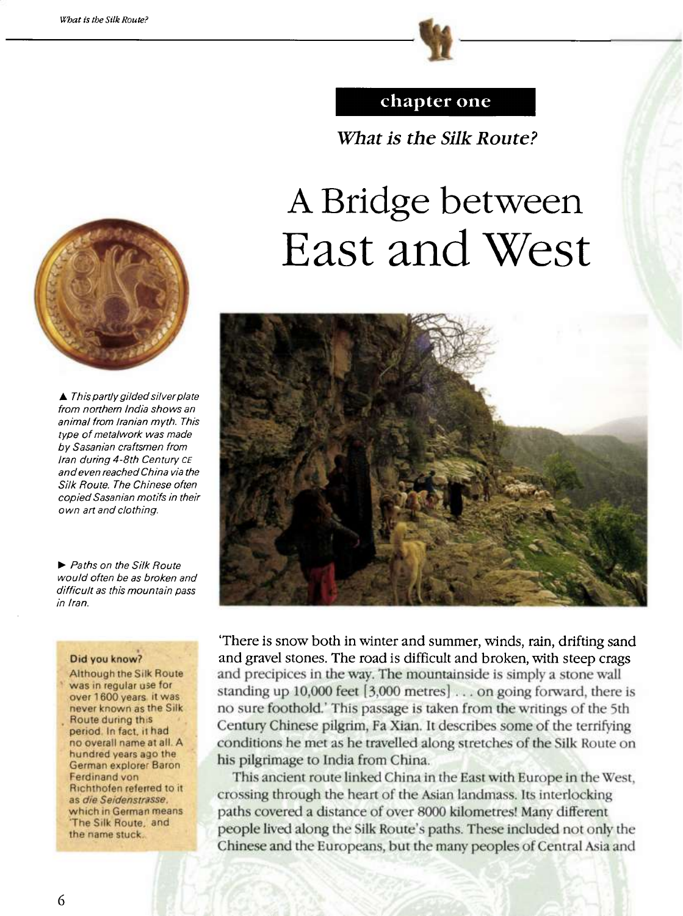

#### chapter one

What is the Silk Route?

### A Bridge between East and West



'There is snow both in winter and summer, winds, rain, drifting sand and gravel stones. The road is difficult and broken, with steep crags and precipices in the way. The mountainside is simply a stone wall standing up 10,000 feet [3,000 metres] ... on going forward, there is no sure foothold.' This passage is taken from the writings of the 5th Century Chinese pilgrim, Fa Xian. It describes some of the terrifying conditions he met as he travelled along stretches of the Silk Route on his pilgrimage to India from China.

This ancient route linked China in the East with Europe in the West, crossing through the heart of the Asian landmass. Its interlocking paths covered a distance of over 8000 kilometres! Many different people lived along the Silk Route's paths. These included not only the Chinese and the Europeans, but the many peoples of Central Asia and



 $\triangle$  This partly gilded silver plate from northern India shows an animal from Iranian myth. This type of metalwork was made by Sasanian craftsmen from Iran during 4-8th Century CE andeven reached China via the Silk Route. The Chinese often copied Sasanian motifs in their own art and clothing.

▶ Paths on the Silk Route would often be as broken and difficult as this mountain pass in Iran.

#### Did you know?

Although the Silk Route was in regular use for over 1600 years, it was never known as the Silk Route during this period. In fact, it had no overall name at all. A hundred years ago the German explorer Baron Ferdinand von Richthofen referred to it as die Seidenstrasse. which in German means The Silk Route, and the name stuck.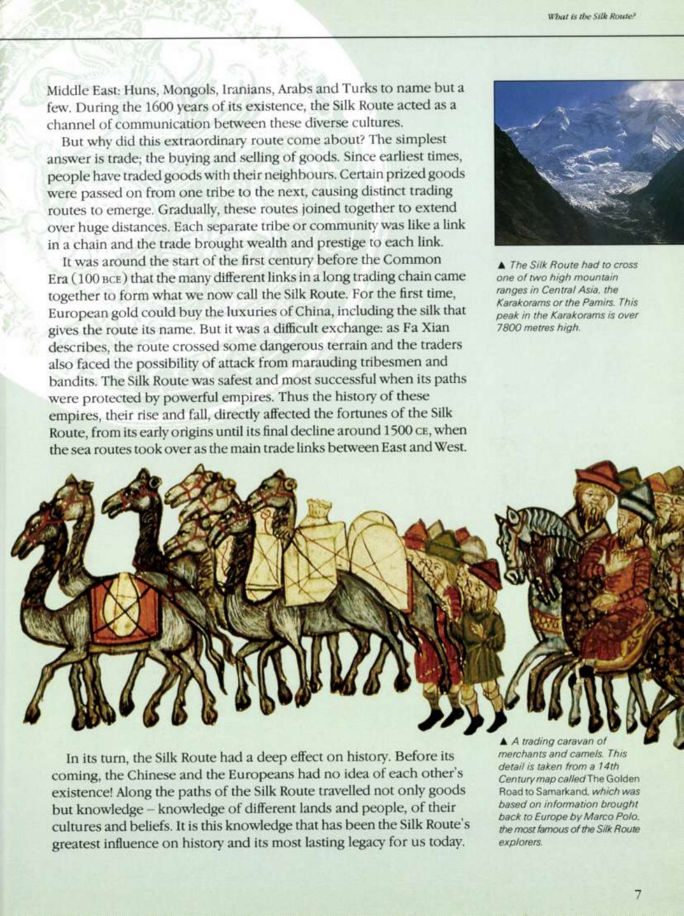Middle East: Huns, Mongols, Iranians, Arabs and Turks to name but a few. During the l600 years of its existence, the Silk Route acted as a channel of communication between these diverse cultures.

But why did this extraordinary route come about? The simplest answer is trade; the buying and selling of goods. Since earliest times, people have traded goods with their neighbours. Certain prized goods were passed on from one tribe to the next, causing distinct trading routes to emerge. Gradually, these routes joined together to extend over huge distances. Each separate tribe or community was like <sup>a</sup> link in a chain and the trade brought wealth and prestige to each link.

It was around the start of the first century before the Common Era (100 bce) that the many different links in a long trading chain came together to form what we now call the Silk Route. For the first time, European gold could buy the luxuries of China, including the silk that gives the route its name. But it was <sup>a</sup> difficult exchange: as Fa Xian describes, the route crossed some dangerous terrain and the traders also faced the possibility of attack from marauding tribesmen and bandits. The Silk Route was safest and most successful when its paths were protected by powerful empires. Thus the history of these empires, their rise and fall, directly affected the fortunes of the Silk Route, from its early origins until its final decline around 1500 ce, when the sea routes took over as the main trade links between East and West.



▲ The Silk Route had to cross one of two high mountain ranges in Central Asia, the Karakorams or the Pamirs. This peak in the Karakorams is over 7800 metres high.

In its turn, the Silk Route had a deep effect on history. Before its coming, the Chinese and the Europeans had no idea of each other's existence! Along the paths of the Silk Route travelled not only goods but knowledge - knowledge of different lands and people, of their cultures and beliefs. It is this knowledge that has been the Silk Route's greatest influence on history and its most lasting legacy for us today.

A A trading caravan of merchants and camels. This detail is taken from a 14th Century map called The Golden Road to Samarkand, which was based on information brought back to Europe by Marco Polo, the most famous of the Silk Route explorers.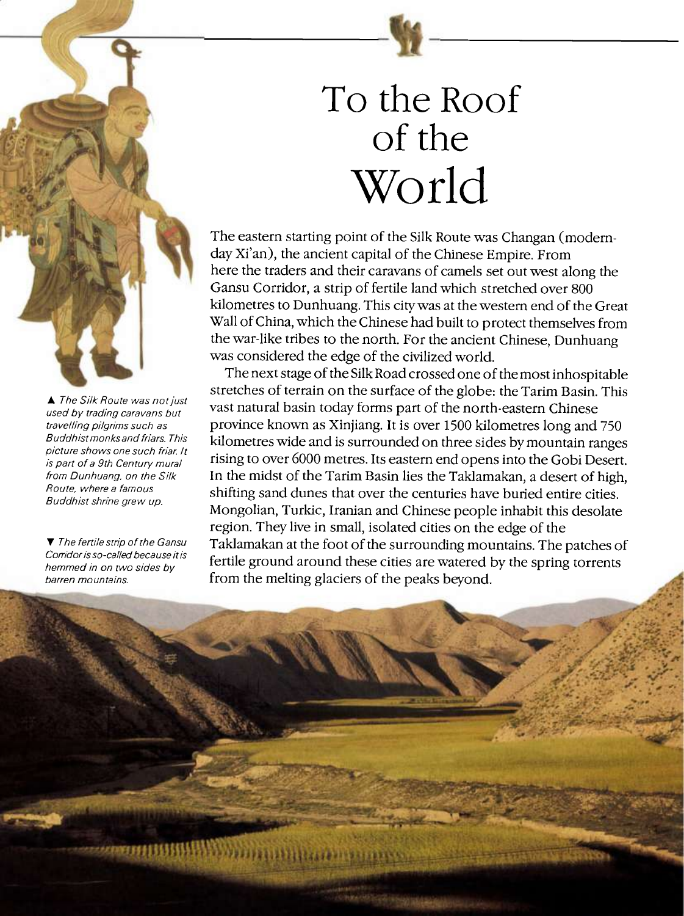

▲ The Silk Route was not just used by trading caravans but travelling pilgrims such as Buddhistmonks and friars. This picture shows one such friar. It is part of <sup>a</sup> 9th Century mural from Dunhuang. on the Silk Route, where a famous Buddhist shrine grew up.

▼ The fertile strip of the Gansu Corridor is so-called because it is hemmed in on two sides by barren mountains.

## To the Roof of the World

The eastern starting point of the Silk Route was Changan (modernday Xi'an), the ancient capital of the Chinese Empire. From here the traders and their caravans of camels set out west along the Gansu Corridor, a strip of fertile land which stretched over 800 kilometres to Dunhuang. This city was at the western end of the Great Wall of China, which the Chinese had built to protect themselves from the war-like tribes to the north. For the ancient Chinese, Dunhuang was considered the edge of the civilized world.

The next stage of the Silk Road crossed one of the most inhospitable stretches of terrain on the surface of the globe: the Tarim Basin. This vast natural basin today forms part of the north-eastern Chinese province known as Xinjiang. It is over 1500 kilometres long and 750 kilometres wide and is surrounded on three sides by mountain ranges rising to over 6000 metres. Its eastern end opens into the Gobi Desert. In the midst of the Tarim Basin lies the Taklamakan, a desert of high, shifting sand dunes that over the centuries have buried entire cities. Mongolian, Turkic, Iranian and Chinese people inhabit this desolate region. They live in small, isolated cities on the edge of the Taklamakan at the foot of the surrounding mountains. The patches of fertile ground around these cities are watered by the spring torrents from the melting glaciers of the peaks beyond.

 $\mathcal{L}$ .

cïmès\*".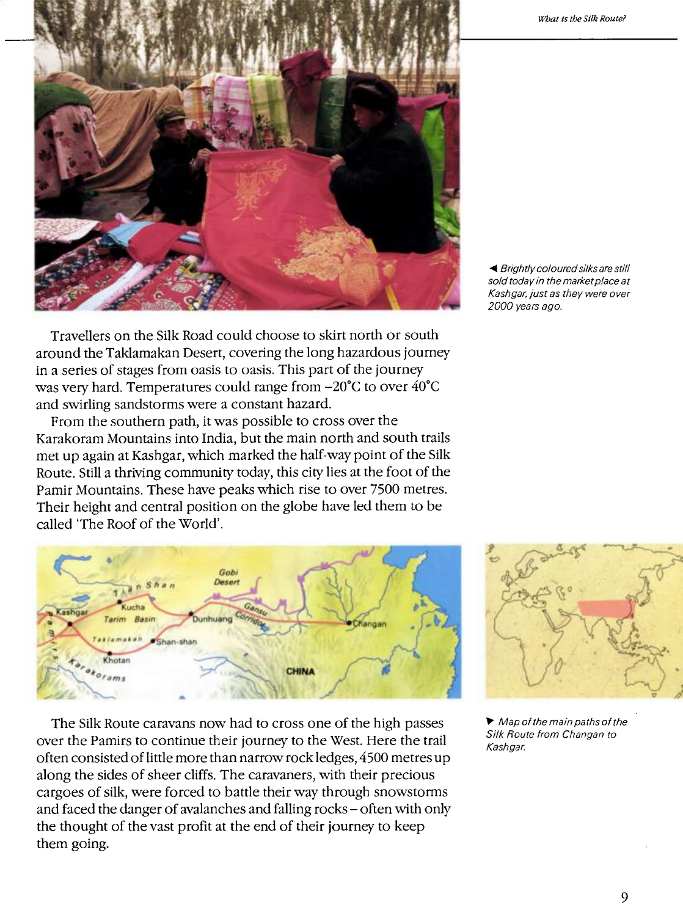

**Example 3 + Brightly coloured silks are still** sold today in the market place at Kashgar. just as they were over 2000 years ago.

Travellers on the Silk Road could choose to skirt north or south around the Taklamakan Desert, covering the long hazardous journey in <sup>a</sup> series of stages from oasis to oasis. This part of the journey was very hard. Temperatures could range from -20°C to over 40°C and swirling sandstorms were a constant hazard.

From the southern path, it was possible to cross over the Karakoram Mountains into India, but the main north and south trails met up again at Kashgar, which marked the half-way point of the Silk Route. Still <sup>a</sup> thriving community today, this city lies at the foot of the Pamir Mountains. These have peaks which rise to over 7500 metres. Their height and central position on the globe have led them to be called 'The Roof of the World'.







 $\blacktriangleright$  Map of the main paths of the Silk Route from Changan to Kashgar.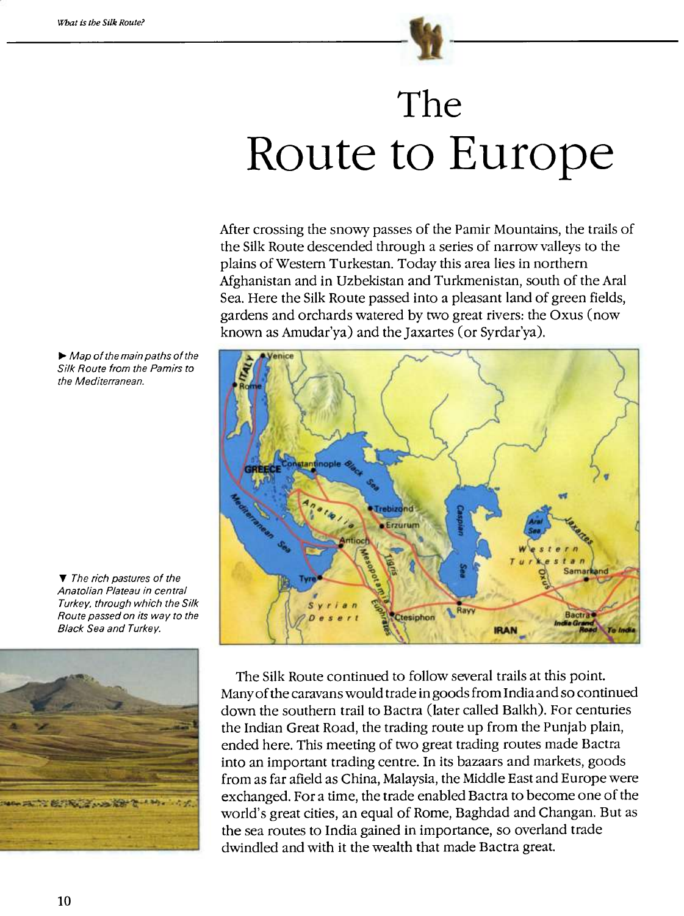

# The Route to Europe

After crossing the snowy passes of the Pamir Mountains, the trails of the Silk Route descended through <sup>a</sup> series of narrow valleys to the plains of Western Turkestan. Today this area lies in northern Afghanistan and in Uzbekistan and Turkmenistan, south of the Aral Sea. Here the Silk Route passed into <sup>a</sup> pleasant land of green fields, gardens and orchards watered by two great rivers: the Oxus (now known as Amudar'ya) and the Jaxartes (or Syrdar'ya).



The Silk Route continued to follow several trails at this point. Manyofthe caravanswould trade in goods from India and so continued down the southern trail to Bactra (later called Balkh). For centuries the Indian Great Road, the trading route up from the Punjab plain, ended here. This meeting of two great trading routes made Bactra into an important trading centre. In its bazaars and markets, goods from as far afield as China, Malaysia, the Middle East and Europe were exchanged. For a time, the trade enabled Bactra to become one of the world's great cities, an equal of Rome, Baghdad and Changan. But as the sea routes to India gained in importance, so overland trade dwindled and with it the wealth that made Bactra great.

 $\blacktriangleright$  Map of the main paths of the Silk Route from the Pamirs to the Mediterranean.

▼ The rich pastures of the Anatolian Plateau in central Turkey, through which the Silk Route passed on its way to the Black Sea and Turkey.

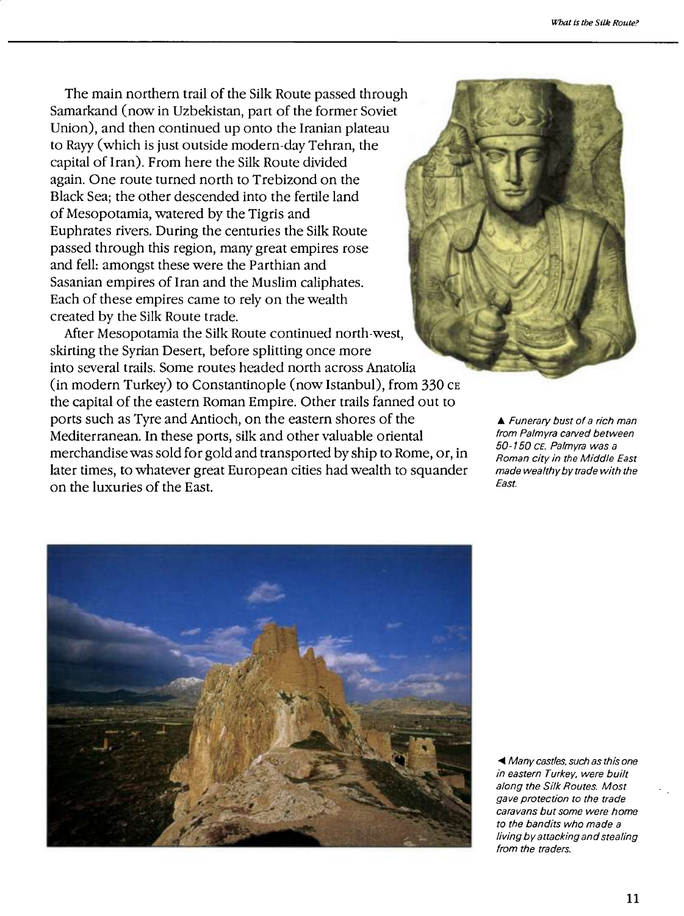The main northern trail of the Silk Route passed through Samarkand (now in Uzbekistan, part of the former Soviet Union), and then continued up onto the Iranian plateau to Rayy (which is just outside modern-day Tehran, the capital of Iran). From here the Silk Route divided again. One route turned north to Trebizond on the Black Sea; the other descended into the fertile land of Mesopotamia, watered by the Tigris and Euphrates rivers. During the centuries the Silk Route passed through this region, many great empires rose and fell: amongst these were the Parthian and Sasanian empires of Iran and the Muslim caliphates. Each of these empires came to rely on the wealth created by the Silk Route trade.

After Mesopotamia the Silk Route continued north-west, skirting the Syrian Desert, before splitting once more into several trails. Some routes headed north across Anatolia (in modern Turkey) to Constantinople (now Istanbul), from 330 ce the capital of the eastern Roman Empire. Other trails fanned out to ports such as Tyre and Antioch, on the eastern shores of the Mediterranean. In these ports, silk and other valuable oriental merchandise was sold for gold and transported by ship to Rome, or, in later times, to whatever great European cities had wealth to squander on the luxuries of the East.





< Many castles, such as this one in eastern Turkey, were built along the Silk Routes. Most gave protection to the trade caravans but some were home to the bandits who made a living byattacking andstealing from the traders.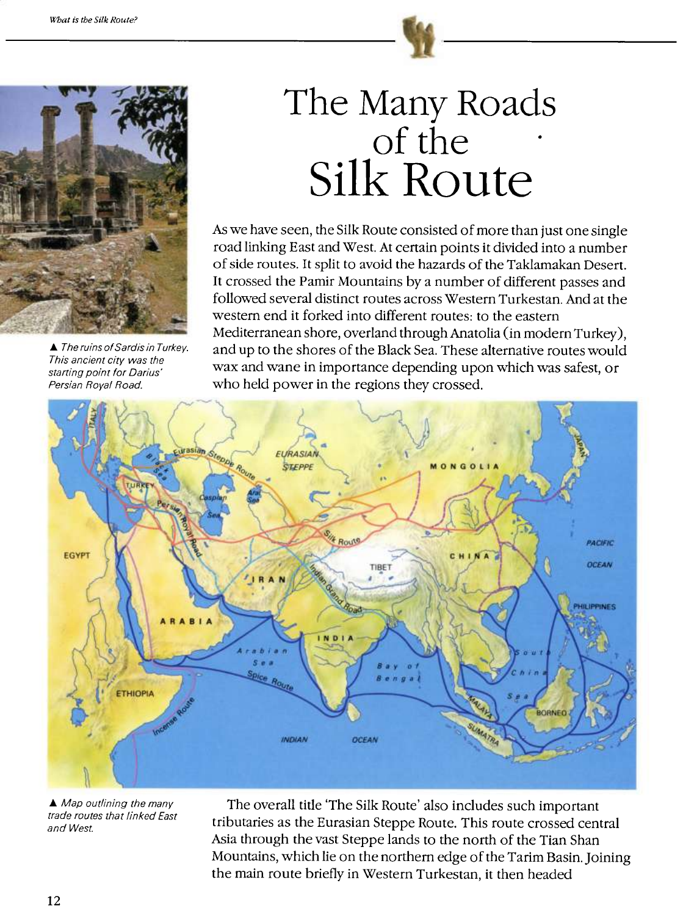



▲ The ruins of Sardis in Turkey. This ancient city was the starting point for Darius' Persian Royal Road.

#### The Many Roads of the Silk Route

As we have seen, the Silk Route consisted of more than just one single road linking East and West. At certain points it divided into a number of side routes. It split to avoid the hazards of the Taklamakan Desert. It crossed the Pamir Mountains by <sup>a</sup> number of different passes and followed several distinct routes across Western Turkestan. And at the western end it forked into different routes: to the eastern Mediterranean shore, overland through Anatolia (in modern Turkey), and up to the shores of the Black Sea. These alternative routes would wax and wane in importance depending upon which was safest, or who held power in the regions they crossed.



▲ Map outlining the many The overall title 'The Silk Route' also includes such important trade routes that linked East  $\frac{1}{4}$  and West tributaries as the Eurasian Steppe Route. This route crossed central Asia through the vast Steppe lands to the north of the Tian Shan Mountains, which lie on the northern edge of the Tarim Basin. Joining the main route briefly in Western Turkestan, it then headed